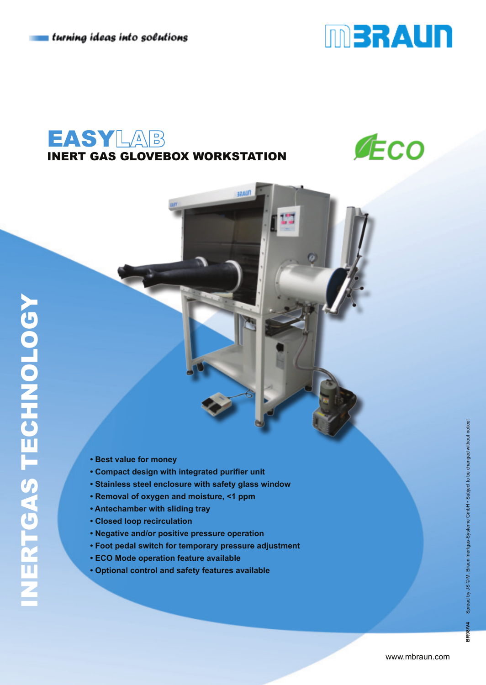

# **EASYLAB** INERT GAS GLOVEBOX WORKSTATION

**TILASE** 



- **Best value for money**
- **Compact design with integrated purifier unit**
- **Stainless steel enclosure with safety glass window**
- **Removal of oxygen and moisture, <1 ppm**
- **Antechamber with sliding tray**
- **Closed loop recirculation**
- **Negative and/or positive pressure operation**
- **Foot pedal switch for temporary pressure adjustment**
- **ECO Mode operation feature available**
- **Optional control and safety features available**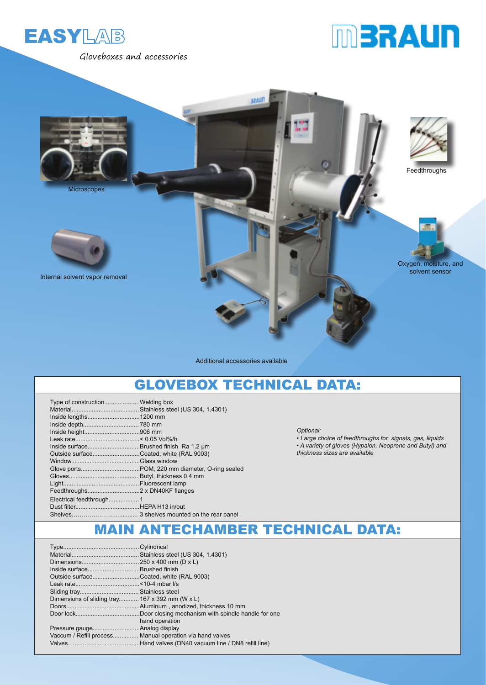

Gloveboxes and accessories





Additional accessories available

### GLOVEBOX TECHNICAL DATA:

| Outside surfaceCoated, white (RAL 9003) |  |
|-----------------------------------------|--|
|                                         |  |
|                                         |  |
|                                         |  |
|                                         |  |
|                                         |  |
|                                         |  |
|                                         |  |
|                                         |  |
|                                         |  |

*Optional:* 

*• Large choice of feedthroughs for signals, gas, liquids • A variety of gloves (Hypalon, Neoprene and Butyl) and thickness sizes are available*

#### MAIN ANTECHAMBER TECHNICAL DATA:

| Inside surfaceBrushed finish                    |                                                          |
|-------------------------------------------------|----------------------------------------------------------|
| Outside surfaceCoated, white (RAL 9003)         |                                                          |
|                                                 |                                                          |
|                                                 |                                                          |
| Dimensions of sliding tray 167 x 392 mm (W x L) |                                                          |
|                                                 |                                                          |
|                                                 |                                                          |
|                                                 | hand operation                                           |
|                                                 |                                                          |
|                                                 | Vaccum / Refill process Manual operation via hand valves |
|                                                 |                                                          |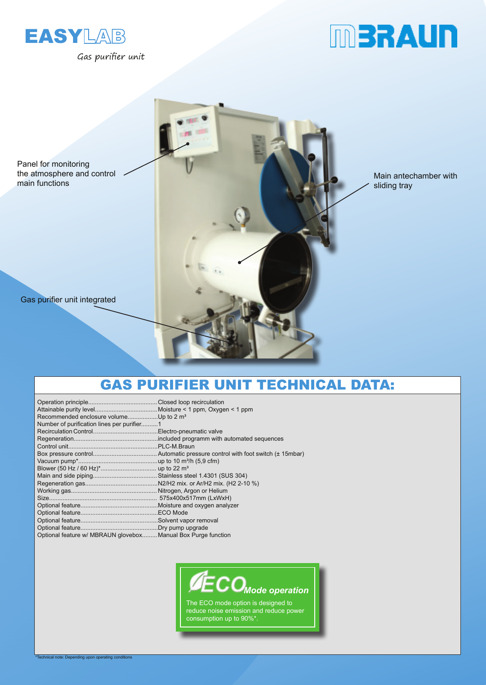

Gas purifier unit





# GAS PURIFIER UNIT TECHNICAL DATA:

| Recommended enclosure volumeUp to 2 m <sup>3</sup>            |
|---------------------------------------------------------------|
| Number of purification lines per purifier1                    |
|                                                               |
|                                                               |
|                                                               |
|                                                               |
|                                                               |
|                                                               |
|                                                               |
|                                                               |
|                                                               |
|                                                               |
|                                                               |
|                                                               |
|                                                               |
|                                                               |
| Optional feature w/ MBRAUN glovebox Manual Box Purge function |
|                                                               |